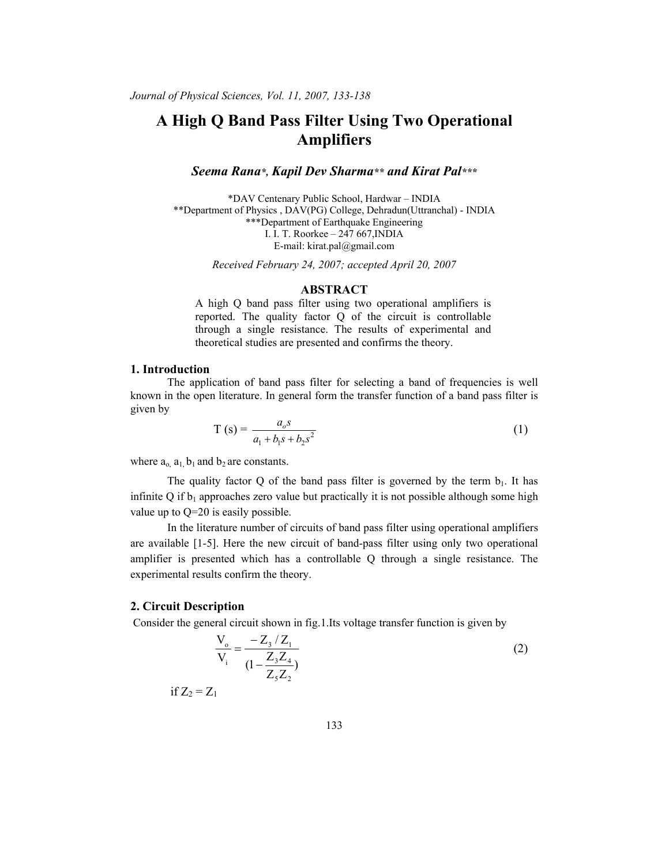# **A High Q Band Pass Filter Using Two Operational Amplifiers**

## *Seema Rana\*, Kapil Dev Sharma\*\* and Kirat Pal\*\*\**

\*DAV Centenary Public School, Hardwar – INDIA \*\*Department of Physics , DAV(PG) College, Dehradun(Uttranchal) - INDIA \*\*\*Department of Earthquake Engineering I. I. T. Roorkee – 247 667,INDIA E-mail: kirat.pal@gmail.com

*Received February 24, 2007; accepted April 20, 2007* 

### **ABSTRACT**

A high Q band pass filter using two operational amplifiers is reported. The quality factor Q of the circuit is controllable through a single resistance. The results of experimental and theoretical studies are presented and confirms the theory.

#### **1. Introduction**

The application of band pass filter for selecting a band of frequencies is well known in the open literature. In general form the transfer function of a band pass filter is given by

$$
T(s) = \frac{a_o s}{a_1 + b_1 s + b_2 s^2}
$$
 (1)

where  $a_0$ ,  $a_1$ ,  $b_1$  and  $b_2$  are constants.

The quality factor Q of the band pass filter is governed by the term  $b_1$ . It has infinite Q if  $b_1$  approaches zero value but practically it is not possible although some high value up to Q=20 is easily possible.

In the literature number of circuits of band pass filter using operational amplifiers are available [1-5]. Here the new circuit of band-pass filter using only two operational amplifier is presented which has a controllable Q through a single resistance. The experimental results confirm the theory.

## **2. Circuit Description**

Consider the general circuit shown in fig.1.Its voltage transfer function is given by

$$
\frac{V_o}{V_i} = \frac{-Z_3/Z_1}{(1 - \frac{Z_3 Z_4}{Z_5 Z_2})}
$$
(2)

if  $Z_2 = Z_1$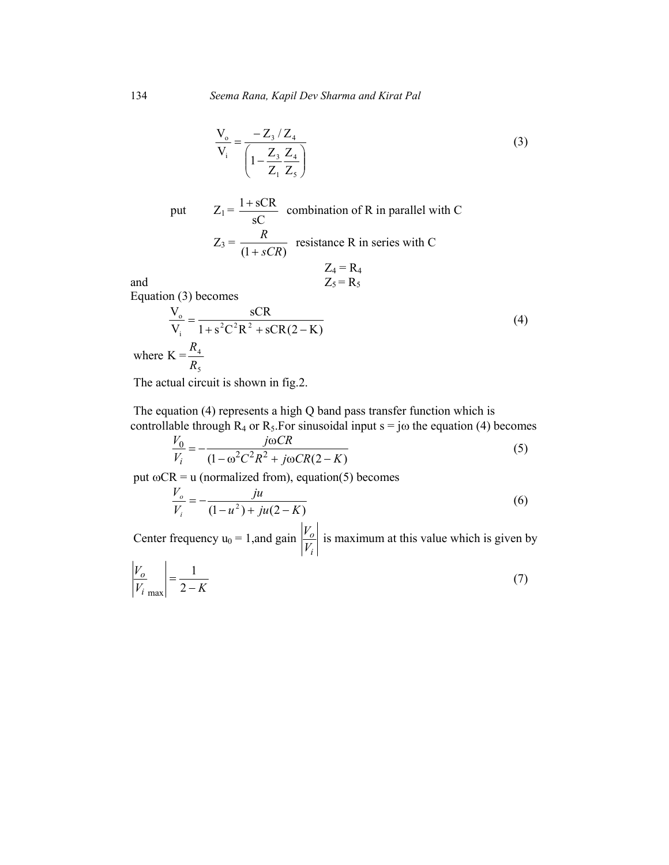$$
\frac{V_o}{V_i} = \frac{-Z_3/Z_4}{\left(1 - \frac{Z_3}{Z_1} \frac{Z_4}{Z_5}\right)}
$$
(3)

 $\frac{1+sCR}{a}$  combination of R in parallel with C

resistance R in series with C

and  
\n
$$
Z_4 = R_4
$$
\nEquation (3) becomes  
\n
$$
\frac{V_o}{V_i} = \frac{sCR}{1 + s^2C^2R^2 + sCR(2 - K)}
$$
\nwhere  $K = \frac{R_4}{R_5}$  (4)

The actual circuit is shown in fig.2.

put  $Z_1 =$ 

 $Z_3 =$ 

sC

 $(1 + sCR)$ *R* +

 The equation (4) represents a high Q band pass transfer function which is controllable through  $R_4$  or  $R_5$ . For sinusoidal input  $s = j\omega$  the equation (4) becomes

$$
\frac{V_0}{V_i} = -\frac{j\omega CR}{(1 - \omega^2 C^2 R^2 + j\omega CR(2 - K))}
$$
(5)

put  $\omega$ CR = u (normalized from), equation(5) becomes

$$
\frac{V_o}{V_i} = -\frac{ju}{(1 - u^2) + ju(2 - K)}
$$
(6)

Center frequency  $u_0 = 1$ , and gain *i o V*  $\frac{V_o}{V}$  is maximum at this value which is given by

$$
\left|\frac{V_o}{V_i}\right| = \frac{1}{2 - K} \tag{7}
$$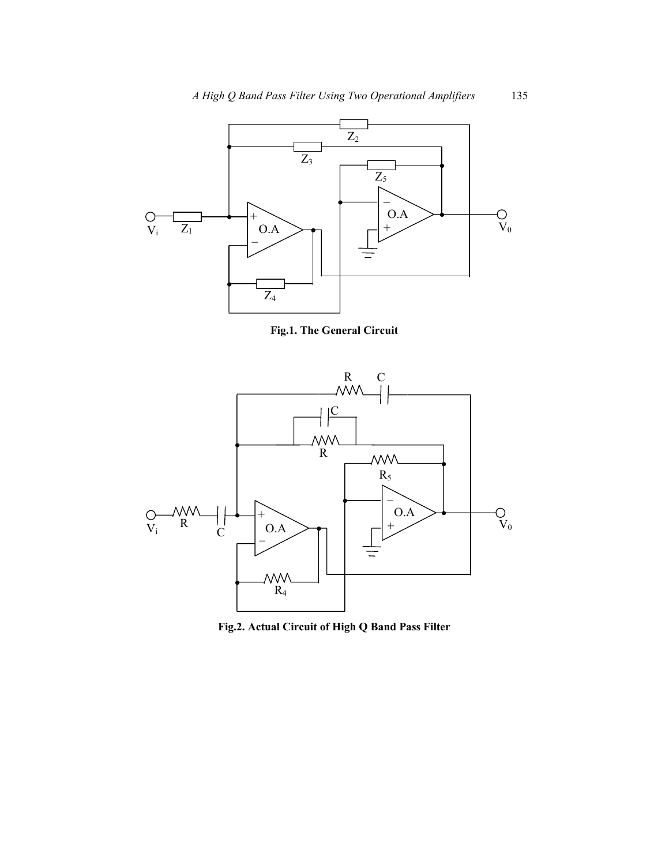

**Fig.1. The General Circuit** 



**Fig.2. Actual Circuit of High Q Band Pass Filter**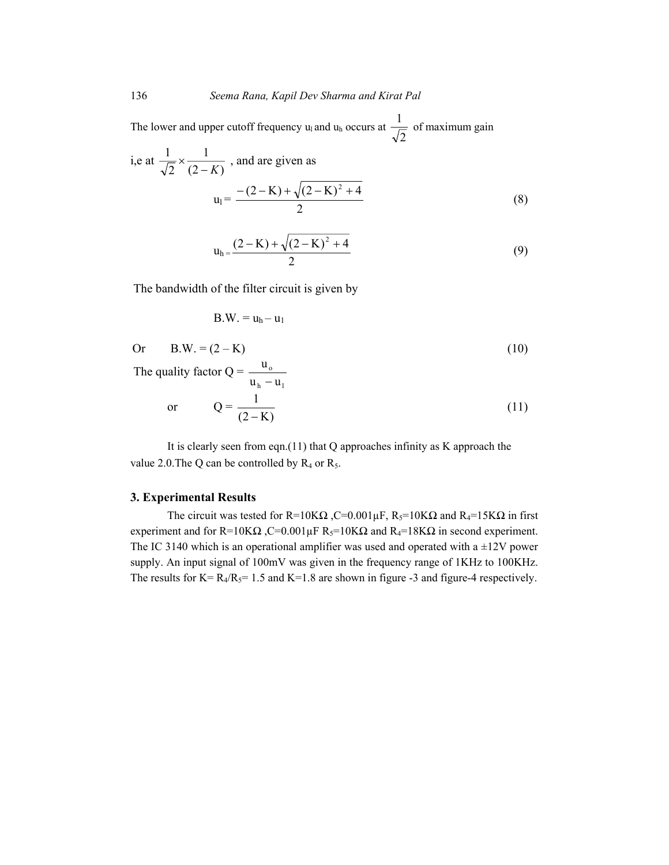The lower and upper cutoff frequency  $u_1$  and  $u_h$  occurs at 2  $\frac{1}{\sqrt{2}}$  of maximum gain

i,e at 
$$
\frac{1}{\sqrt{2}} \times \frac{1}{(2-K)}
$$
, and are given as  

$$
u_1 = \frac{-(2-K) + \sqrt{(2-K)^2 + 4}}{2}
$$
(8)

$$
u_h = \frac{(2 - K) + \sqrt{(2 - K)^2 + 4}}{2}
$$
\n(9)

The bandwidth of the filter circuit is given by

$$
B.W. = uh - u1
$$

Or 
$$
B.W. = (2 - K)
$$
 (10)

The quality factor  $Q =$ <sub>h</sub> u<sub>l</sub> o  $u<sub>h</sub> - u$  $\frac{u_0}{-u_1}$ 

$$
\text{or} \qquad \mathbf{Q} = \frac{1}{(2 - \mathbf{K})} \tag{11}
$$

It is clearly seen from eqn.(11) that  $Q$  approaches infinity as  $K$  approach the value 2.0. The Q can be controlled by  $R_4$  or  $R_5$ .

#### **3. Experimental Results**

The circuit was tested for R=10K $\Omega$ , C=0.001 $\mu$ F, R<sub>5</sub>=10K $\Omega$  and R<sub>4</sub>=15K $\Omega$  in first experiment and for R=10K $\Omega$ , C=0.001µF R<sub>5</sub>=10K $\Omega$  and R<sub>4</sub>=18K $\Omega$  in second experiment. The IC 3140 which is an operational amplifier was used and operated with a  $\pm 12V$  power supply. An input signal of 100mV was given in the frequency range of 1KHz to 100KHz. The results for  $K = R_4/R_5 = 1.5$  and  $K = 1.8$  are shown in figure -3 and figure-4 respectively.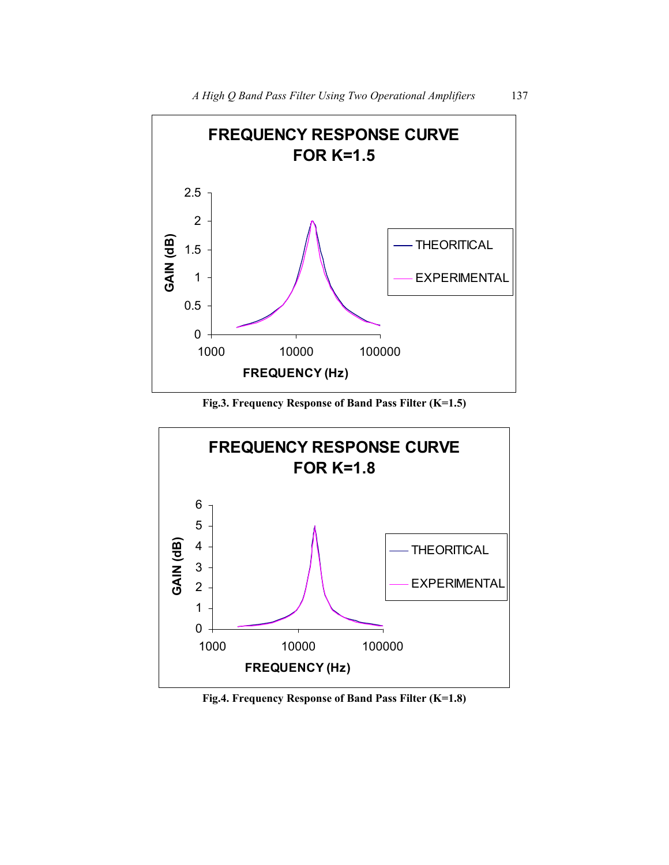

**Fig.3. Frequency Response of Band Pass Filter (K=1.5)** 



**Fig.4. Frequency Response of Band Pass Filter (K=1.8)**